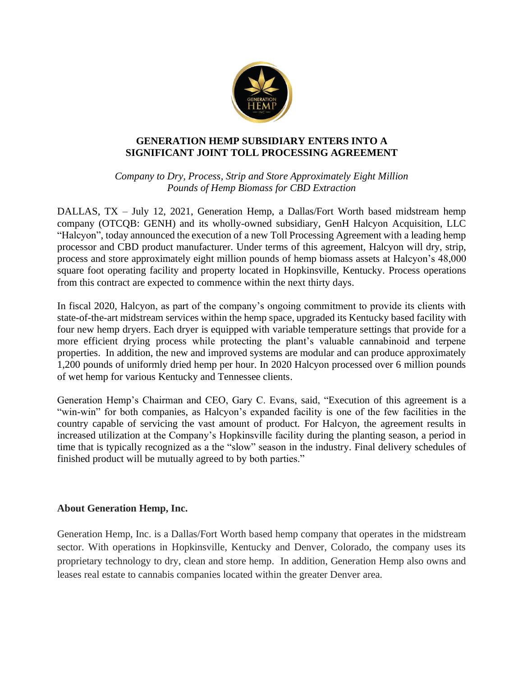

## **GENERATION HEMP SUBSIDIARY ENTERS INTO A SIGNIFICANT JOINT TOLL PROCESSING AGREEMENT**

*Company to Dry, Process, Strip and Store Approximately Eight Million Pounds of Hemp Biomass for CBD Extraction* 

DALLAS, TX – July 12, 2021, Generation Hemp, a Dallas/Fort Worth based midstream hemp company (OTCQB: GENH) and its wholly-owned subsidiary, GenH Halcyon Acquisition, LLC "Halcyon", today announced the execution of a new Toll Processing Agreement with a leading hemp processor and CBD product manufacturer. Under terms of this agreement, Halcyon will dry, strip, process and store approximately eight million pounds of hemp biomass assets at Halcyon's 48,000 square foot operating facility and property located in Hopkinsville, Kentucky. Process operations from this contract are expected to commence within the next thirty days.

In fiscal 2020, Halcyon, as part of the company's ongoing commitment to provide its clients with state-of-the-art midstream services within the hemp space, upgraded its Kentucky based facility with four new hemp dryers. Each dryer is equipped with variable temperature settings that provide for a more efficient drying process while protecting the plant's valuable cannabinoid and terpene properties. In addition, the new and improved systems are modular and can produce approximately 1,200 pounds of uniformly dried hemp per hour. In 2020 Halcyon processed over 6 million pounds of wet hemp for various Kentucky and Tennessee clients.

Generation Hemp's Chairman and CEO, Gary C. Evans, said, "Execution of this agreement is a "win-win" for both companies, as Halcyon's expanded facility is one of the few facilities in the country capable of servicing the vast amount of product. For Halcyon, the agreement results in increased utilization at the Company's Hopkinsville facility during the planting season, a period in time that is typically recognized as a the "slow" season in the industry. Final delivery schedules of finished product will be mutually agreed to by both parties."

## **About Generation Hemp, Inc.**

Generation Hemp, Inc. is a Dallas/Fort Worth based hemp company that operates in the midstream sector. With operations in Hopkinsville, Kentucky and Denver, Colorado, the company uses its proprietary technology to dry, clean and store hemp. In addition, Generation Hemp also owns and leases real estate to cannabis companies located within the greater Denver area.